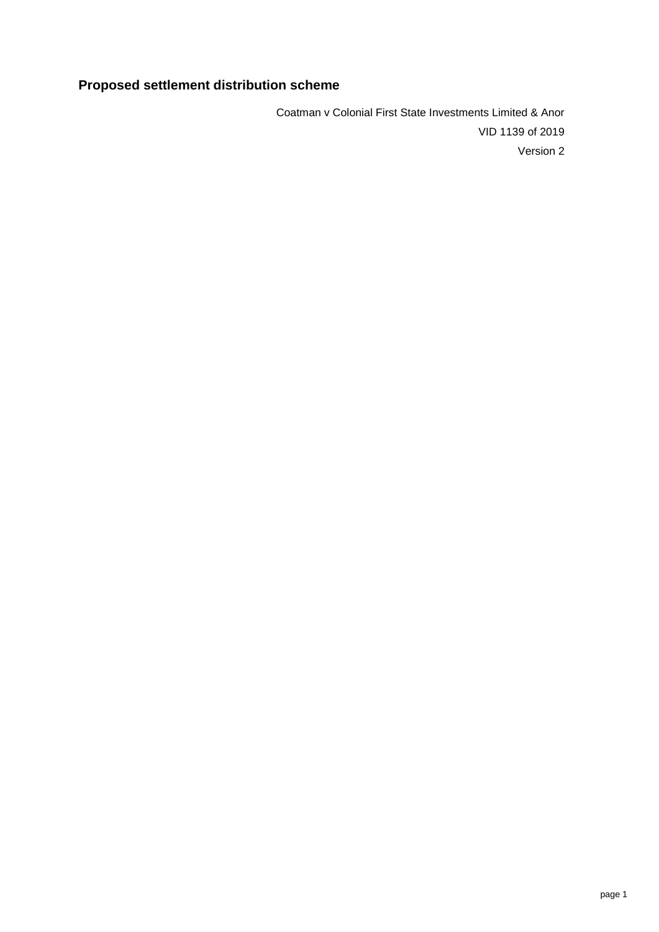# **Proposed settlement distribution scheme**

Coatman v Colonial First State Investments Limited & Anor VID 1139 of 2019 Version 2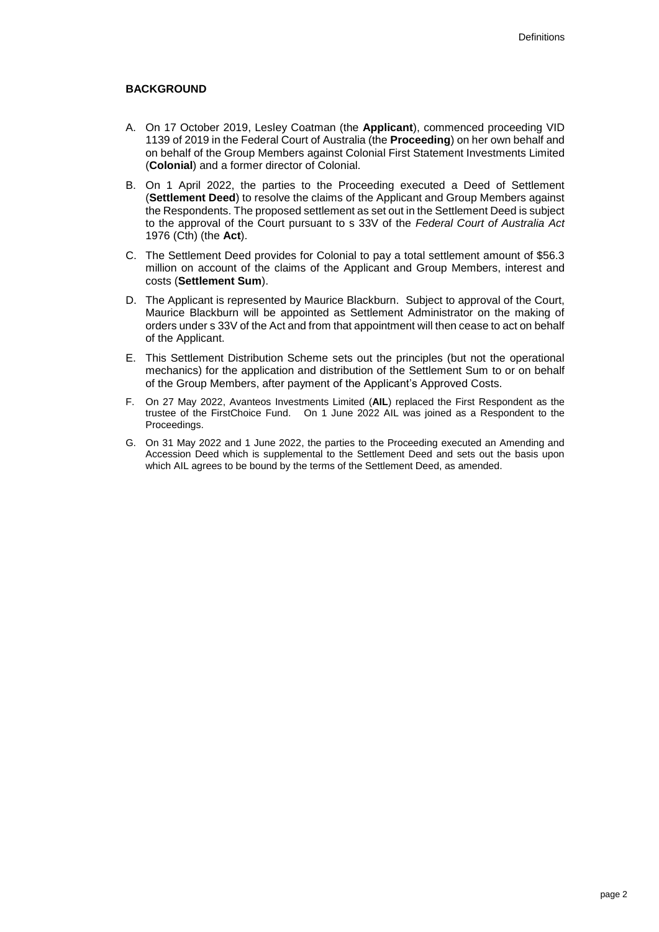#### **BACKGROUND**

- A. On 17 October 2019, Lesley Coatman (the **Applicant**), commenced proceeding VID 1139 of 2019 in the Federal Court of Australia (the **Proceeding**) on her own behalf and on behalf of the Group Members against Colonial First Statement Investments Limited (**Colonial**) and a former director of Colonial.
- B. On 1 April 2022, the parties to the Proceeding executed a Deed of Settlement (**Settlement Deed**) to resolve the claims of the Applicant and Group Members against the Respondents. The proposed settlement as set out in the Settlement Deed is subject to the approval of the Court pursuant to s 33V of the *Federal Court of Australia Act* 1976 (Cth) (the **Act**).
- C. The Settlement Deed provides for Colonial to pay a total settlement amount of \$56.3 million on account of the claims of the Applicant and Group Members, interest and costs (**Settlement Sum**).
- D. The Applicant is represented by Maurice Blackburn. Subject to approval of the Court, Maurice Blackburn will be appointed as Settlement Administrator on the making of orders under s 33V of the Act and from that appointment will then cease to act on behalf of the Applicant.
- E. This Settlement Distribution Scheme sets out the principles (but not the operational mechanics) for the application and distribution of the Settlement Sum to or on behalf of the Group Members, after payment of the Applicant's Approved Costs.
- F. On 27 May 2022, Avanteos Investments Limited (**AIL**) replaced the First Respondent as the trustee of the FirstChoice Fund. On 1 June 2022 AIL was joined as a Respondent to the Proceedings.
- G. On 31 May 2022 and 1 June 2022, the parties to the Proceeding executed an Amending and Accession Deed which is supplemental to the Settlement Deed and sets out the basis upon which AIL agrees to be bound by the terms of the Settlement Deed, as amended.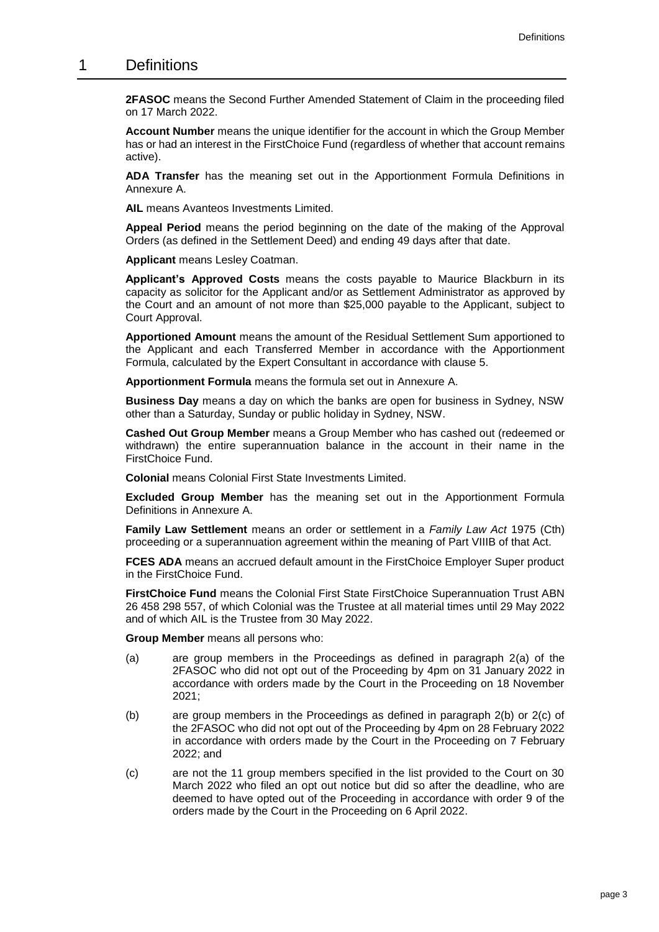#### 1 Definitions

**2FASOC** means the Second Further Amended Statement of Claim in the proceeding filed on 17 March 2022.

**Account Number** means the unique identifier for the account in which the Group Member has or had an interest in the FirstChoice Fund (regardless of whether that account remains active).

**ADA Transfer** has the meaning set out in the Apportionment Formula Definitions in Annexure A.

**AIL** means Avanteos Investments Limited.

**Appeal Period** means the period beginning on the date of the making of the Approval Orders (as defined in the Settlement Deed) and ending 49 days after that date.

**Applicant** means Lesley Coatman.

**Applicant's Approved Costs** means the costs payable to Maurice Blackburn in its capacity as solicitor for the Applicant and/or as Settlement Administrator as approved by the Court and an amount of not more than \$25,000 payable to the Applicant, subject to Court Approval.

**Apportioned Amount** means the amount of the Residual Settlement Sum apportioned to the Applicant and each Transferred Member in accordance with the Apportionment Formula, calculated by the Expert Consultant in accordance with clause [5.](#page-5-0)

**Apportionment Formula** means the formula set out in [Annexure A.](#page-11-0)

**Business Day** means a day on which the banks are open for business in Sydney, NSW other than a Saturday, Sunday or public holiday in Sydney, NSW.

**Cashed Out Group Member** means a Group Member who has cashed out (redeemed or withdrawn) the entire superannuation balance in the account in their name in the FirstChoice Fund.

**Colonial** means Colonial First State Investments Limited.

**Excluded Group Member** has the meaning set out in the Apportionment Formula Definitions in Annexure A.

**Family Law Settlement** means an order or settlement in a *Family Law Act* 1975 (Cth) proceeding or a superannuation agreement within the meaning of Part VIIIB of that Act.

**FCES ADA** means an accrued default amount in the FirstChoice Employer Super product in the FirstChoice Fund.

**FirstChoice Fund** means the Colonial First State FirstChoice Superannuation Trust ABN 26 458 298 557, of which Colonial was the Trustee at all material times until 29 May 2022 and of which AIL is the Trustee from 30 May 2022.

**Group Member** means all persons who:

- (a) are group members in the Proceedings as defined in paragraph 2(a) of the 2FASOC who did not opt out of the Proceeding by 4pm on 31 January 2022 in accordance with orders made by the Court in the Proceeding on 18 November 2021;
- (b) are group members in the Proceedings as defined in paragraph 2(b) or 2(c) of the 2FASOC who did not opt out of the Proceeding by 4pm on 28 February 2022 in accordance with orders made by the Court in the Proceeding on 7 February 2022; and
- (c) are not the 11 group members specified in the list provided to the Court on 30 March 2022 who filed an opt out notice but did so after the deadline, who are deemed to have opted out of the Proceeding in accordance with order 9 of the orders made by the Court in the Proceeding on 6 April 2022.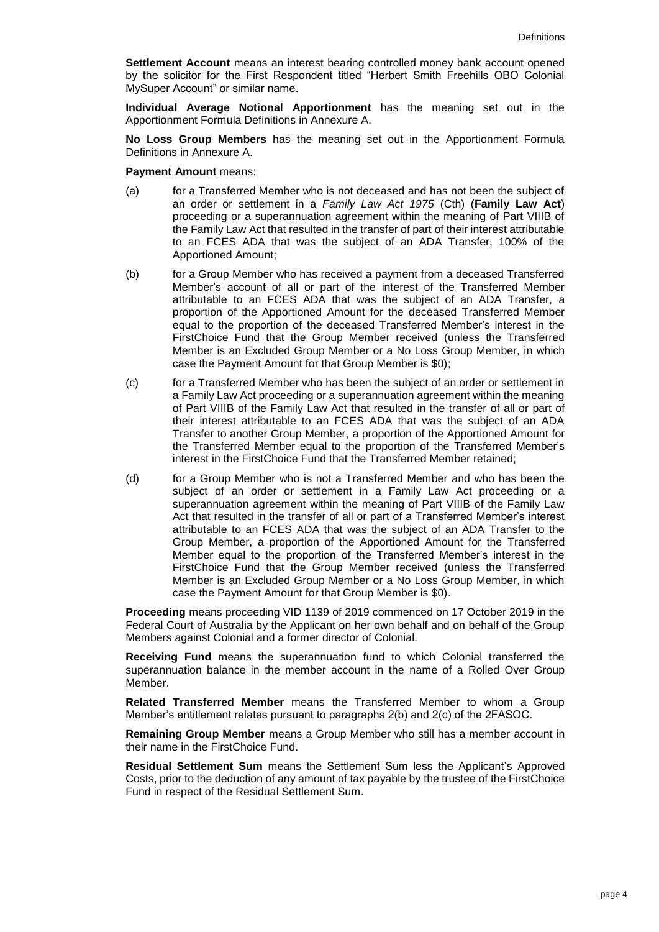**Settlement Account** means an interest bearing controlled money bank account opened by the solicitor for the First Respondent titled "Herbert Smith Freehills OBO Colonial MySuper Account" or similar name.

**Individual Average Notional Apportionment** has the meaning set out in the Apportionment Formula Definitions in Annexure A.

**No Loss Group Members** has the meaning set out in the Apportionment Formula Definitions in Annexure A.

**Payment Amount** means:

- (a) for a Transferred Member who is not deceased and has not been the subject of an order or settlement in a *Family Law Act 1975* (Cth) (**Family Law Act**) proceeding or a superannuation agreement within the meaning of Part VIIIB of the Family Law Act that resulted in the transfer of part of their interest attributable to an FCES ADA that was the subject of an ADA Transfer, 100% of the Apportioned Amount;
- (b) for a Group Member who has received a payment from a deceased Transferred Member's account of all or part of the interest of the Transferred Member attributable to an FCES ADA that was the subject of an ADA Transfer, a proportion of the Apportioned Amount for the deceased Transferred Member equal to the proportion of the deceased Transferred Member's interest in the FirstChoice Fund that the Group Member received (unless the Transferred Member is an Excluded Group Member or a No Loss Group Member, in which case the Payment Amount for that Group Member is \$0);
- (c) for a Transferred Member who has been the subject of an order or settlement in a Family Law Act proceeding or a superannuation agreement within the meaning of Part VIIIB of the Family Law Act that resulted in the transfer of all or part of their interest attributable to an FCES ADA that was the subject of an ADA Transfer to another Group Member, a proportion of the Apportioned Amount for the Transferred Member equal to the proportion of the Transferred Member's interest in the FirstChoice Fund that the Transferred Member retained;
- (d) for a Group Member who is not a Transferred Member and who has been the subject of an order or settlement in a Family Law Act proceeding or a superannuation agreement within the meaning of Part VIIIB of the Family Law Act that resulted in the transfer of all or part of a Transferred Member's interest attributable to an FCES ADA that was the subject of an ADA Transfer to the Group Member, a proportion of the Apportioned Amount for the Transferred Member equal to the proportion of the Transferred Member's interest in the FirstChoice Fund that the Group Member received (unless the Transferred Member is an Excluded Group Member or a No Loss Group Member, in which case the Payment Amount for that Group Member is \$0).

**Proceeding** means proceeding VID 1139 of 2019 commenced on 17 October 2019 in the Federal Court of Australia by the Applicant on her own behalf and on behalf of the Group Members against Colonial and a former director of Colonial.

**Receiving Fund** means the superannuation fund to which Colonial transferred the superannuation balance in the member account in the name of a Rolled Over Group Member.

**Related Transferred Member** means the Transferred Member to whom a Group Member's entitlement relates pursuant to paragraphs 2(b) and 2(c) of the 2FASOC.

**Remaining Group Member** means a Group Member who still has a member account in their name in the FirstChoice Fund.

**Residual Settlement Sum** means the Settlement Sum less the Applicant's Approved Costs, prior to the deduction of any amount of tax payable by the trustee of the FirstChoice Fund in respect of the Residual Settlement Sum.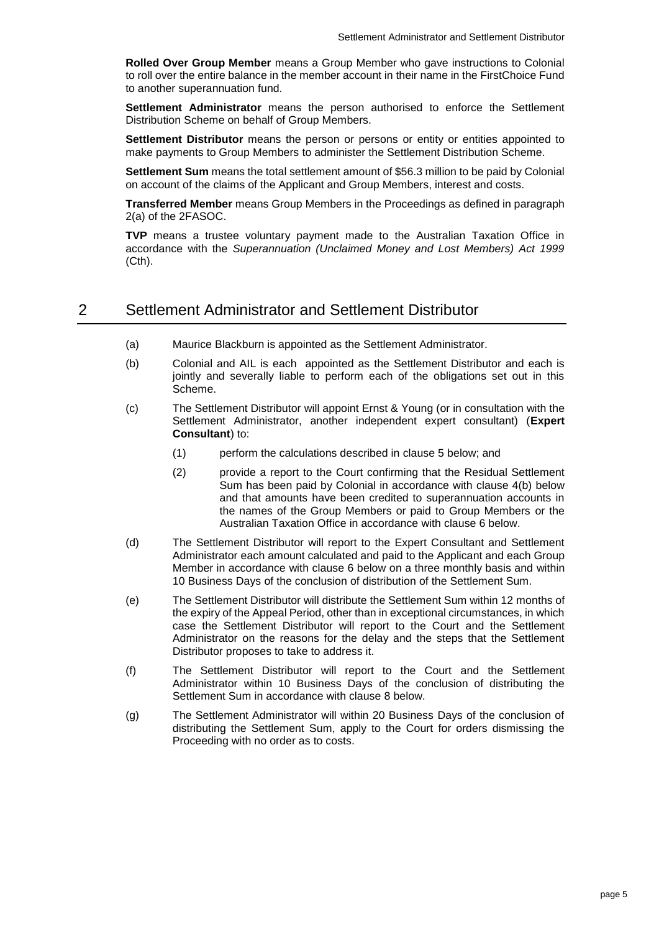**Rolled Over Group Member** means a Group Member who gave instructions to Colonial to roll over the entire balance in the member account in their name in the FirstChoice Fund to another superannuation fund.

**Settlement Administrator** means the person authorised to enforce the Settlement Distribution Scheme on behalf of Group Members.

**Settlement Distributor** means the person or persons or entity or entities appointed to make payments to Group Members to administer the Settlement Distribution Scheme.

**Settlement Sum** means the total settlement amount of \$56.3 million to be paid by Colonial on account of the claims of the Applicant and Group Members, interest and costs.

**Transferred Member** means Group Members in the Proceedings as defined in paragraph 2(a) of the 2FASOC.

**TVP** means a trustee voluntary payment made to the Australian Taxation Office in accordance with the *Superannuation (Unclaimed Money and Lost Members) Act 1999* (Cth).

### 2 Settlement Administrator and Settlement Distributor

- (a) Maurice Blackburn is appointed as the Settlement Administrator.
- (b) Colonial and AIL is each appointed as the Settlement Distributor and each is jointly and severally liable to perform each of the obligations set out in this Scheme.
- (c) The Settlement Distributor will appoint Ernst & Young (or in consultation with the Settlement Administrator, another independent expert consultant) (**Expert Consultant**) to:
	- (1) perform the calculations described in clause [5](#page-5-0) below; and
	- (2) provide a report to the Court confirming that the Residual Settlement Sum has been paid by Colonial in accordance with clause [4\(b\)](#page-5-1) below and that amounts have been credited to superannuation accounts in the names of the Group Members or paid to Group Members or the Australian Taxation Office in accordance with clause [6](#page-7-0) below.
- (d) The Settlement Distributor will report to the Expert Consultant and Settlement Administrator each amount calculated and paid to the Applicant and each Group Member in accordance with clause [6](#page-7-0) below on a three monthly basis and within 10 Business Days of the conclusion of distribution of the Settlement Sum.
- (e) The Settlement Distributor will distribute the Settlement Sum within 12 months of the expiry of the Appeal Period, other than in exceptional circumstances, in which case the Settlement Distributor will report to the Court and the Settlement Administrator on the reasons for the delay and the steps that the Settlement Distributor proposes to take to address it.
- (f) The Settlement Distributor will report to the Court and the Settlement Administrator within 10 Business Days of the conclusion of distributing the Settlement Sum in accordance with clause [8](#page-9-0) below.
- <span id="page-4-0"></span>(g) The Settlement Administrator will within 20 Business Days of the conclusion of distributing the Settlement Sum, apply to the Court for orders dismissing the Proceeding with no order as to costs.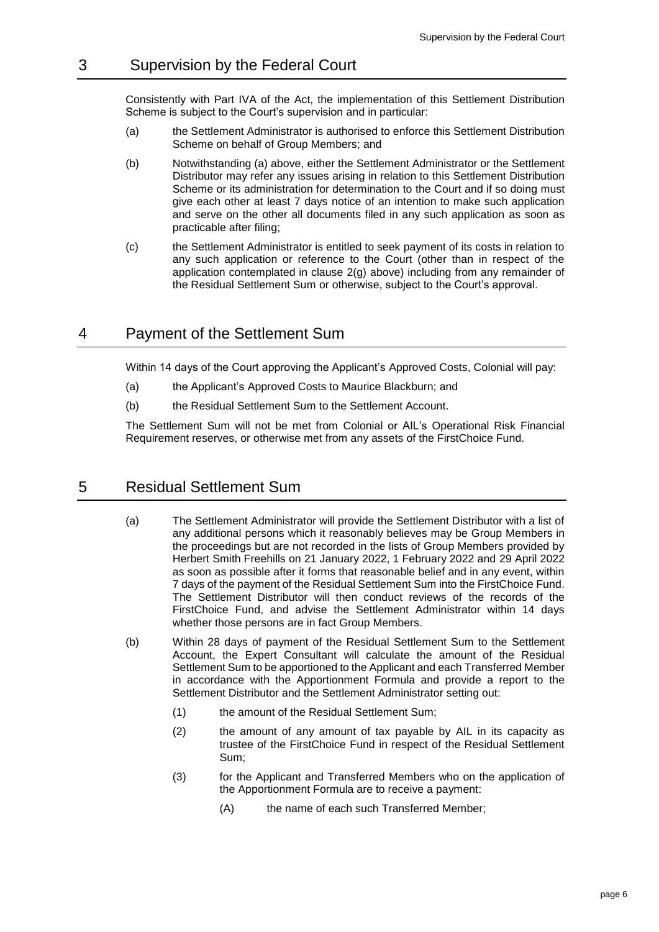### 3 Supervision by the Federal Court

Consistently with Part IVA of the Act, the implementation of this Settlement Distribution Scheme is subject to the Court's supervision and in particular:

- (a) the Settlement Administrator is authorised to enforce this Settlement Distribution Scheme on behalf of Group Members; and
- (b) Notwithstanding (a) above, either the Settlement Administrator or the Settlement Distributor may refer any issues arising in relation to this Settlement Distribution Scheme or its administration for determination to the Court and if so doing must give each other at least 7 days notice of an intention to make such application and serve on the other all documents filed in any such application as soon as practicable after filing;
- (c) the Settlement Administrator is entitled to seek payment of its costs in relation to any such application or reference to the Court (other than in respect of the application contemplated in clause [2\(g\)](#page-4-0) above) including from any remainder of the Residual Settlement Sum or otherwise, subject to the Court's approval.

### <span id="page-5-3"></span>4 Payment of the Settlement Sum

Within 14 days of the Court approving the Applicant's Approved Costs, Colonial will pay:

- (a) the Applicant's Approved Costs to Maurice Blackburn; and
- <span id="page-5-1"></span>(b) the Residual Settlement Sum to the Settlement Account.

The Settlement Sum will not be met from Colonial or AIL's Operational Risk Financial Requirement reserves, or otherwise met from any assets of the FirstChoice Fund.

### <span id="page-5-0"></span>5 Residual Settlement Sum

- (a) The Settlement Administrator will provide the Settlement Distributor with a list of any additional persons which it reasonably believes may be Group Members in the proceedings but are not recorded in the lists of Group Members provided by Herbert Smith Freehills on 21 January 2022, 1 February 2022 and 29 April 2022 as soon as possible after it forms that reasonable belief and in any event, within 7 days of the payment of the Residual Settlement Sum into the FirstChoice Fund. The Settlement Distributor will then conduct reviews of the records of the FirstChoice Fund, and advise the Settlement Administrator within 14 days whether those persons are in fact Group Members.
- <span id="page-5-2"></span>(b) Within 28 days of payment of the Residual Settlement Sum to the Settlement Account, the Expert Consultant will calculate the amount of the Residual Settlement Sum to be apportioned to the Applicant and each Transferred Member in accordance with the Apportionment Formula and provide a report to the Settlement Distributor and the Settlement Administrator setting out:
	- (1) the amount of the Residual Settlement Sum;
	- (2) the amount of any amount of tax payable by AIL in its capacity as trustee of the FirstChoice Fund in respect of the Residual Settlement Sum;
	- (3) for the Applicant and Transferred Members who on the application of the Apportionment Formula are to receive a payment:
		- (A) the name of each such Transferred Member;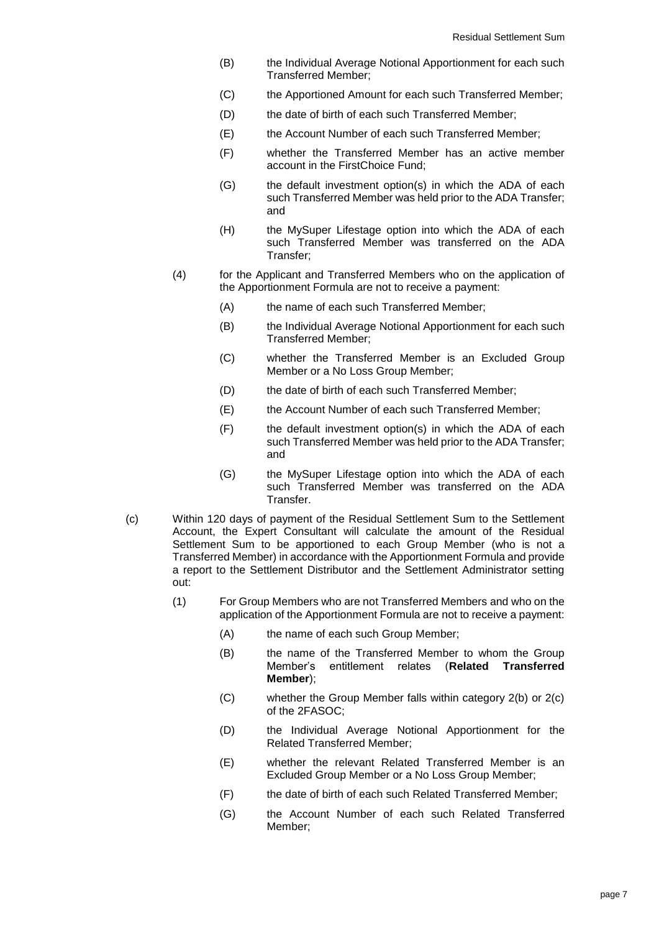- (B) the Individual Average Notional Apportionment for each such Transferred Member;
- (C) the Apportioned Amount for each such Transferred Member;
- (D) the date of birth of each such Transferred Member;
- (E) the Account Number of each such Transferred Member;
- (F) whether the Transferred Member has an active member account in the FirstChoice Fund;
- (G) the default investment option(s) in which the ADA of each such Transferred Member was held prior to the ADA Transfer; and
- (H) the MySuper Lifestage option into which the ADA of each such Transferred Member was transferred on the ADA Transfer;
- (4) for the Applicant and Transferred Members who on the application of the Apportionment Formula are not to receive a payment:
	- (A) the name of each such Transferred Member:
	- (B) the Individual Average Notional Apportionment for each such Transferred Member;
	- (C) whether the Transferred Member is an Excluded Group Member or a No Loss Group Member;
	- (D) the date of birth of each such Transferred Member;
	- (E) the Account Number of each such Transferred Member;
	- (F) the default investment option(s) in which the ADA of each such Transferred Member was held prior to the ADA Transfer; and
	- (G) the MySuper Lifestage option into which the ADA of each such Transferred Member was transferred on the ADA Transfer.
- (c) Within 120 days of payment of the Residual Settlement Sum to the Settlement Account, the Expert Consultant will calculate the amount of the Residual Settlement Sum to be apportioned to each Group Member (who is not a Transferred Member) in accordance with the Apportionment Formula and provide a report to the Settlement Distributor and the Settlement Administrator setting out:
	- (1) For Group Members who are not Transferred Members and who on the application of the Apportionment Formula are not to receive a payment:
		- (A) the name of each such Group Member;
		- (B) the name of the Transferred Member to whom the Group Member's entitlement relates (**Related Transferred Member**);
		- (C) whether the Group Member falls within category 2(b) or 2(c) of the 2FASOC;
		- (D) the Individual Average Notional Apportionment for the Related Transferred Member;
		- (E) whether the relevant Related Transferred Member is an Excluded Group Member or a No Loss Group Member;
		- (F) the date of birth of each such Related Transferred Member;
		- (G) the Account Number of each such Related Transferred Member;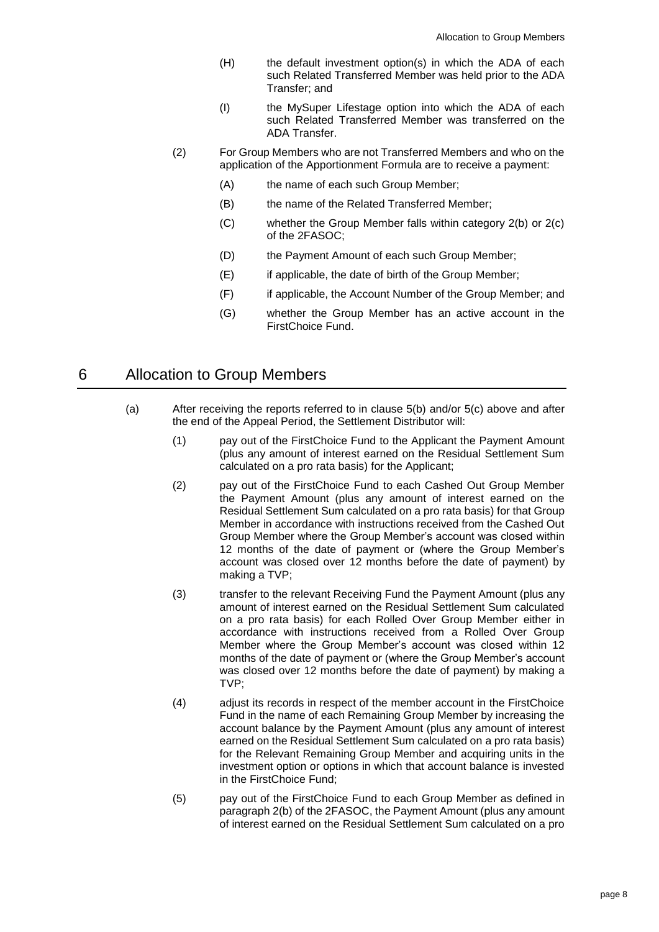- (H) the default investment option(s) in which the ADA of each such Related Transferred Member was held prior to the ADA Transfer; and
- (I) the MySuper Lifestage option into which the ADA of each such Related Transferred Member was transferred on the ADA Transfer.
- (2) For Group Members who are not Transferred Members and who on the application of the Apportionment Formula are to receive a payment:
	- (A) the name of each such Group Member;
	- (B) the name of the Related Transferred Member;
	- (C) whether the Group Member falls within category 2(b) or 2(c) of the 2FASOC;
	- (D) the Payment Amount of each such Group Member;
	- (E) if applicable, the date of birth of the Group Member;
	- (F) if applicable, the Account Number of the Group Member; and
	- (G) whether the Group Member has an active account in the FirstChoice Fund.

#### <span id="page-7-4"></span><span id="page-7-0"></span>6 Allocation to Group Members

- <span id="page-7-5"></span><span id="page-7-3"></span><span id="page-7-2"></span><span id="page-7-1"></span>(a) After receiving the reports referred to in clause [5\(b\)](#page-5-2) and/or 5(c) above and after the end of the Appeal Period, the Settlement Distributor will:
	- (1) pay out of the FirstChoice Fund to the Applicant the Payment Amount (plus any amount of interest earned on the Residual Settlement Sum calculated on a pro rata basis) for the Applicant;
	- (2) pay out of the FirstChoice Fund to each Cashed Out Group Member the Payment Amount (plus any amount of interest earned on the Residual Settlement Sum calculated on a pro rata basis) for that Group Member in accordance with instructions received from the Cashed Out Group Member where the Group Member's account was closed within 12 months of the date of payment or (where the Group Member's account was closed over 12 months before the date of payment) by making a TVP;
	- (3) transfer to the relevant Receiving Fund the Payment Amount (plus any amount of interest earned on the Residual Settlement Sum calculated on a pro rata basis) for each Rolled Over Group Member either in accordance with instructions received from a Rolled Over Group Member where the Group Member's account was closed within 12 months of the date of payment or (where the Group Member's account was closed over 12 months before the date of payment) by making a TVP;
	- (4) adjust its records in respect of the member account in the FirstChoice Fund in the name of each Remaining Group Member by increasing the account balance by the Payment Amount (plus any amount of interest earned on the Residual Settlement Sum calculated on a pro rata basis) for the Relevant Remaining Group Member and acquiring units in the investment option or options in which that account balance is invested in the FirstChoice Fund;
	- (5) pay out of the FirstChoice Fund to each Group Member as defined in paragraph 2(b) of the 2FASOC, the Payment Amount (plus any amount of interest earned on the Residual Settlement Sum calculated on a pro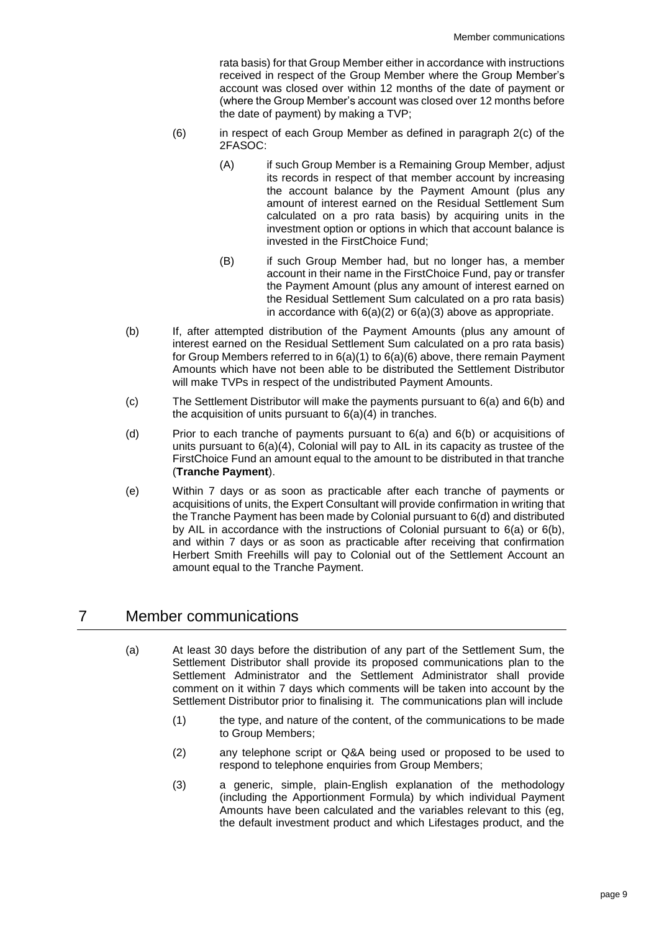rata basis) for that Group Member either in accordance with instructions received in respect of the Group Member where the Group Member's account was closed over within 12 months of the date of payment or (where the Group Member's account was closed over 12 months before the date of payment) by making a TVP;

- <span id="page-8-3"></span><span id="page-8-0"></span>(6) in respect of each Group Member as defined in paragraph 2(c) of the 2FASOC:
	- (A) if such Group Member is a Remaining Group Member, adjust its records in respect of that member account by increasing the account balance by the Payment Amount (plus any amount of interest earned on the Residual Settlement Sum calculated on a pro rata basis) by acquiring units in the investment option or options in which that account balance is invested in the FirstChoice Fund;
	- (B) if such Group Member had, but no longer has, a member account in their name in the FirstChoice Fund, pay or transfer the Payment Amount (plus any amount of interest earned on the Residual Settlement Sum calculated on a pro rata basis) in accordance with [6\(a\)\(2\)](#page-7-1) or [6\(a\)\(3\)](#page-7-2) above as appropriate.
- <span id="page-8-1"></span>(b) If, after attempted distribution of the Payment Amounts (plus any amount of interest earned on the Residual Settlement Sum calculated on a pro rata basis) for Group Members referred to i[n 6\(a\)\(1\)](#page-7-3) to [6\(a\)\(6\)](#page-8-0) above, there remain Payment Amounts which have not been able to be distributed the Settlement Distributor will make TVPs in respect of the undistributed Payment Amounts.
- (c) The Settlement Distributor will make the payments pursuant to [6\(a\)](#page-7-4) and [6](#page-7-0)[\(b\)](#page-8-1) and the acquisition of units pursuant to  $6(a)(4)$  in tranches.
- <span id="page-8-2"></span>(d) Prior to each tranche of payments pursuant to [6\(a\)](#page-7-4) and [6](#page-7-0)[\(b\)](#page-8-1) or acquisitions of units pursuant to [6\(a\)\(4\),](#page-7-5) Colonial will pay to AIL in its capacity as trustee of the FirstChoice Fund an amount equal to the amount to be distributed in that tranche (**Tranche Payment**).
- (e) Within 7 days or as soon as practicable after each tranche of payments or acquisitions of units, the Expert Consultant will provide confirmation in writing that the Tranche Payment has been made by Colonial pursuant to [6\(d\)](#page-8-2) and distributed by AIL in accordance with the instructions of Colonial pursuant to [6\(a\)](#page-7-4) or [6\(b\),](#page-8-1) and within 7 days or as soon as practicable after receiving that confirmation Herbert Smith Freehills will pay to Colonial out of the Settlement Account an amount equal to the Tranche Payment.

# 7 Member communications

- (a) At least 30 days before the distribution of any part of the Settlement Sum, the Settlement Distributor shall provide its proposed communications plan to the Settlement Administrator and the Settlement Administrator shall provide comment on it within 7 days which comments will be taken into account by the Settlement Distributor prior to finalising it. The communications plan will include
	- (1) the type, and nature of the content, of the communications to be made to Group Members;
	- (2) any telephone script or Q&A being used or proposed to be used to respond to telephone enquiries from Group Members;
	- (3) a generic, simple, plain-English explanation of the methodology (including the Apportionment Formula) by which individual Payment Amounts have been calculated and the variables relevant to this (eg, the default investment product and which Lifestages product, and the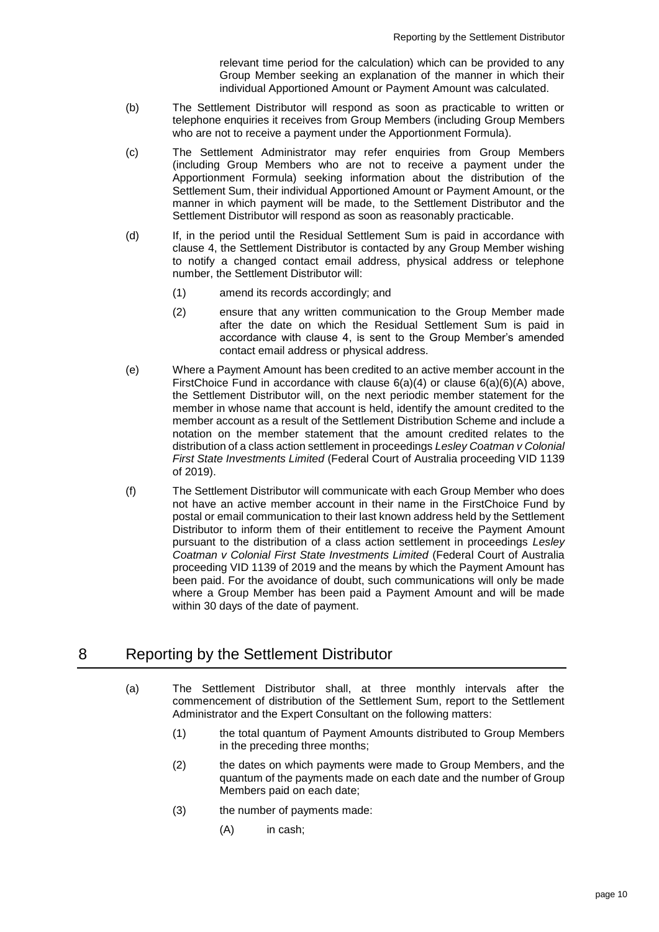relevant time period for the calculation) which can be provided to any Group Member seeking an explanation of the manner in which their individual Apportioned Amount or Payment Amount was calculated.

- (b) The Settlement Distributor will respond as soon as practicable to written or telephone enquiries it receives from Group Members (including Group Members who are not to receive a payment under the Apportionment Formula).
- (c) The Settlement Administrator may refer enquiries from Group Members (including Group Members who are not to receive a payment under the Apportionment Formula) seeking information about the distribution of the Settlement Sum, their individual Apportioned Amount or Payment Amount, or the manner in which payment will be made, to the Settlement Distributor and the Settlement Distributor will respond as soon as reasonably practicable.
- (d) If, in the period until the Residual Settlement Sum is paid in accordance with clause [4,](#page-5-3) the Settlement Distributor is contacted by any Group Member wishing to notify a changed contact email address, physical address or telephone number, the Settlement Distributor will:
	- (1) amend its records accordingly; and
	- (2) ensure that any written communication to the Group Member made after the date on which the Residual Settlement Sum is paid in accordance with clause 4, is sent to the Group Member's amended contact email address or physical address.
- (e) Where a Payment Amount has been credited to an active member account in the FirstChoice Fund in accordance with clause  $6(a)(4)$  or clause  $6(a)(6)(A)$  above, the Settlement Distributor will, on the next periodic member statement for the member in whose name that account is held, identify the amount credited to the member account as a result of the Settlement Distribution Scheme and include a notation on the member statement that the amount credited relates to the distribution of a class action settlement in proceedings *Lesley Coatman v Colonial First State Investments Limited* (Federal Court of Australia proceeding VID 1139 of 2019).
- (f) The Settlement Distributor will communicate with each Group Member who does not have an active member account in their name in the FirstChoice Fund by postal or email communication to their last known address held by the Settlement Distributor to inform them of their entitlement to receive the Payment Amount pursuant to the distribution of a class action settlement in proceedings *Lesley Coatman v Colonial First State Investments Limited* (Federal Court of Australia proceeding VID 1139 of 2019 and the means by which the Payment Amount has been paid. For the avoidance of doubt, such communications will only be made where a Group Member has been paid a Payment Amount and will be made within 30 days of the date of payment.

# <span id="page-9-0"></span>8 Reporting by the Settlement Distributor

- (a) The Settlement Distributor shall, at three monthly intervals after the commencement of distribution of the Settlement Sum, report to the Settlement Administrator and the Expert Consultant on the following matters:
	- (1) the total quantum of Payment Amounts distributed to Group Members in the preceding three months;
	- (2) the dates on which payments were made to Group Members, and the quantum of the payments made on each date and the number of Group Members paid on each date;
	- (3) the number of payments made:
		- (A) in cash;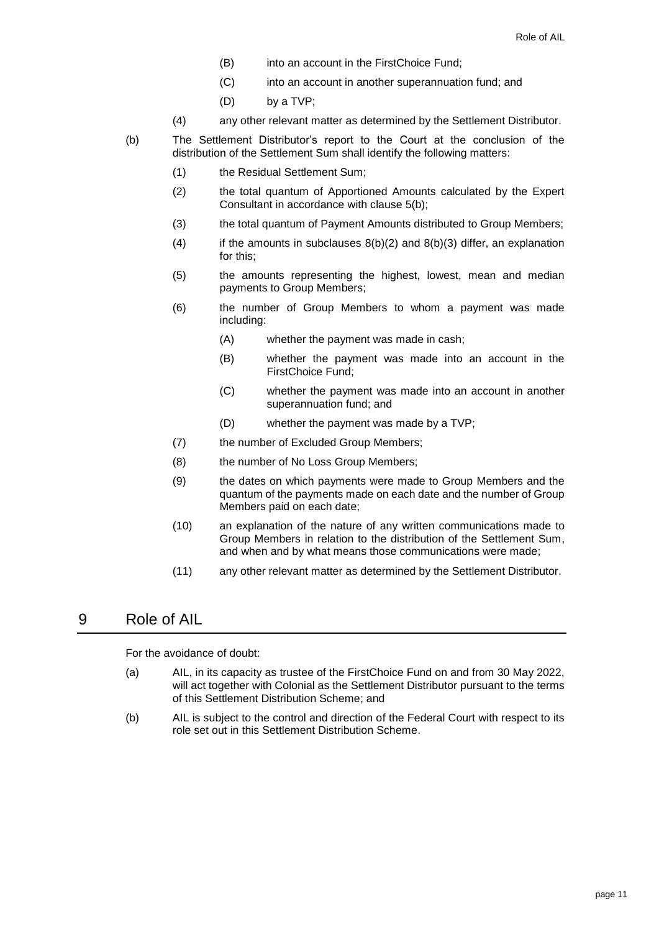- (B) into an account in the FirstChoice Fund;
- (C) into an account in another superannuation fund; and
- (D) by a TVP;
- (4) any other relevant matter as determined by the Settlement Distributor.
- <span id="page-10-2"></span><span id="page-10-1"></span><span id="page-10-0"></span>(b) The Settlement Distributor's report to the Court at the conclusion of the distribution of the Settlement Sum shall identify the following matters:
	- (1) the Residual Settlement Sum;
	- (2) the total quantum of Apportioned Amounts calculated by the Expert Consultant in accordance with clause [5\(b\);](#page-5-2)
	- (3) the total quantum of Payment Amounts distributed to Group Members;
	- (4) if the amounts in subclauses  $8(b)(2)$  $8(b)(2)$  $8(b)(2)$  and  $8(b)(3)$  $8(b)(3)$  differ, an explanation for this;
	- (5) the amounts representing the highest, lowest, mean and median payments to Group Members;
	- (6) the number of Group Members to whom a payment was made including:
		- (A) whether the payment was made in cash;
		- (B) whether the payment was made into an account in the FirstChoice Fund;
		- (C) whether the payment was made into an account in another superannuation fund; and
		- (D) whether the payment was made by a TVP;
	- (7) the number of Excluded Group Members;
	- (8) the number of No Loss Group Members;
	- (9) the dates on which payments were made to Group Members and the quantum of the payments made on each date and the number of Group Members paid on each date;
	- (10) an explanation of the nature of any written communications made to Group Members in relation to the distribution of the Settlement Sum, and when and by what means those communications were made;
	- (11) any other relevant matter as determined by the Settlement Distributor.

### 9 Role of AIL

For the avoidance of doubt:

- (a) AIL, in its capacity as trustee of the FirstChoice Fund on and from 30 May 2022, will act together with Colonial as the Settlement Distributor pursuant to the terms of this Settlement Distribution Scheme; and
- (b) AIL is subject to the control and direction of the Federal Court with respect to its role set out in this Settlement Distribution Scheme.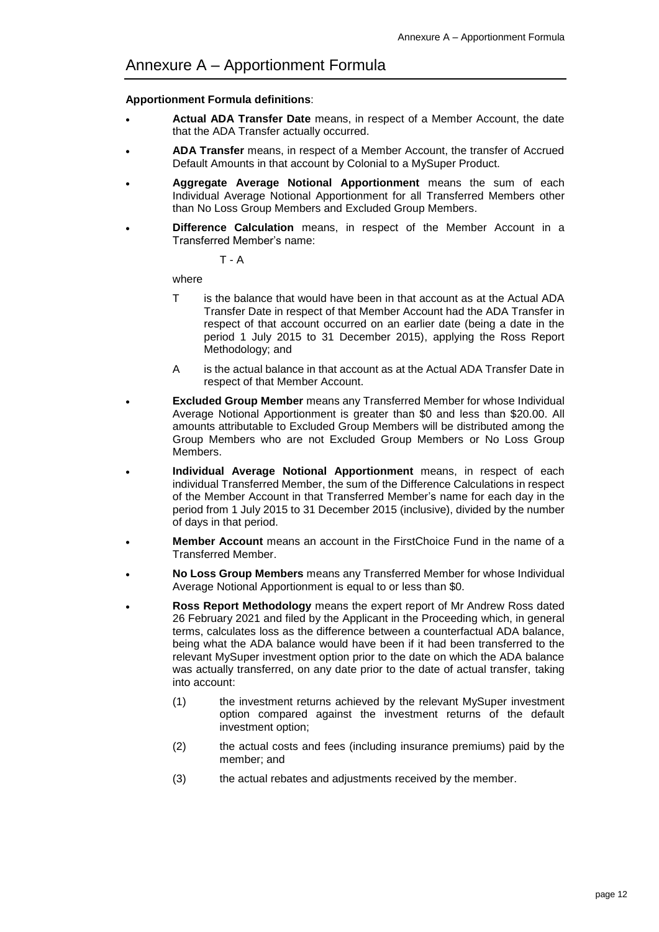#### <span id="page-11-0"></span>**Apportionment Formula definitions**:

- **Actual ADA Transfer Date** means, in respect of a Member Account, the date that the ADA Transfer actually occurred.
- **ADA Transfer** means, in respect of a Member Account, the transfer of Accrued Default Amounts in that account by Colonial to a MySuper Product.
- **Aggregate Average Notional Apportionment** means the sum of each Individual Average Notional Apportionment for all Transferred Members other than No Loss Group Members and Excluded Group Members.
- **Difference Calculation** means, in respect of the Member Account in a Transferred Member's name:

T - A

where

- T is the balance that would have been in that account as at the Actual ADA Transfer Date in respect of that Member Account had the ADA Transfer in respect of that account occurred on an earlier date (being a date in the period 1 July 2015 to 31 December 2015), applying the Ross Report Methodology; and
- A is the actual balance in that account as at the Actual ADA Transfer Date in respect of that Member Account.
- **Excluded Group Member** means any Transferred Member for whose Individual Average Notional Apportionment is greater than \$0 and less than \$20.00. All amounts attributable to Excluded Group Members will be distributed among the Group Members who are not Excluded Group Members or No Loss Group Members.
- **Individual Average Notional Apportionment** means, in respect of each individual Transferred Member, the sum of the Difference Calculations in respect of the Member Account in that Transferred Member's name for each day in the period from 1 July 2015 to 31 December 2015 (inclusive), divided by the number of days in that period.
- **Member Account** means an account in the FirstChoice Fund in the name of a Transferred Member.
- **No Loss Group Members** means any Transferred Member for whose Individual Average Notional Apportionment is equal to or less than \$0.
- **Ross Report Methodology** means the expert report of Mr Andrew Ross dated 26 February 2021 and filed by the Applicant in the Proceeding which, in general terms, calculates loss as the difference between a counterfactual ADA balance, being what the ADA balance would have been if it had been transferred to the relevant MySuper investment option prior to the date on which the ADA balance was actually transferred, on any date prior to the date of actual transfer, taking into account:
	- (1) the investment returns achieved by the relevant MySuper investment option compared against the investment returns of the default investment option;
	- (2) the actual costs and fees (including insurance premiums) paid by the member; and
	- (3) the actual rebates and adjustments received by the member.